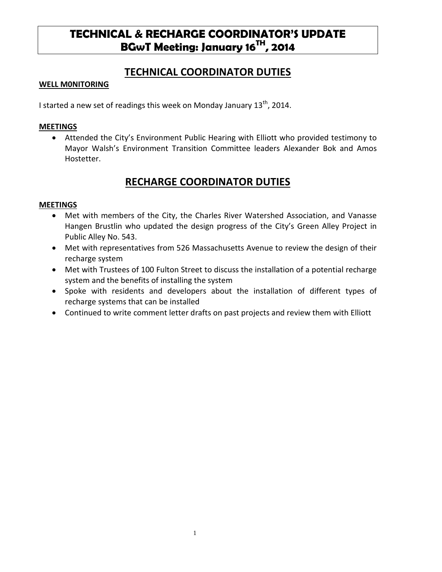# **TECHNICAL & RECHARGE COORDINATOR'S UPDATE BGwT Meeting: January 16TH, 2014**

### **TECHNICAL COORDINATOR DUTIES**

#### **WELL M0NITORING**

I started a new set of readings this week on Monday January 13<sup>th</sup>, 2014.

#### **MEETINGS**

• Attended the City's Environment Public Hearing with Elliott who provided testimony to Mayor Walsh's Environment Transition Committee leaders Alexander Bok and Amos Hostetter.

## **RECHARGE COORDINATOR DUTIES**

#### **MEETINGS**

- Met with members of the City, the Charles River Watershed Association, and Vanasse Hangen Brustlin who updated the design progress of the City's Green Alley Project in Public Alley No. 543.
- Met with representatives from 526 Massachusetts Avenue to review the design of their recharge system
- Met with Trustees of 100 Fulton Street to discuss the installation of a potential recharge system and the benefits of installing the system
- Spoke with residents and developers about the installation of different types of recharge systems that can be installed
- Continued to write comment letter drafts on past projects and review them with Elliott